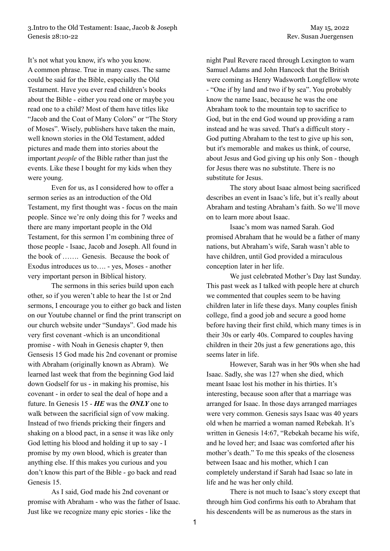3.Intro to the Old Testament: Isaac, Jacob & Joseph May 15, 2022 Genesis 28:10-22 Rev. Susan Juergensen

It's not what you know, it's who you know. A common phrase. True in many cases. The same could be said for the Bible, especially the Old Testament. Have you ever read children's books about the Bible - either you read one or maybe you read one to a child? Most of them have titles like "Jacob and the Coat of Many Colors" or "The Story of Moses". Wisely, publishers have taken the main, well known stories in the Old Testament, added pictures and made them into stories about the important *people* of the Bible rather than just the events. Like these I bought for my kids when they were young.

Even for us, as I considered how to offer a sermon series as an introduction of the Old Testament, my first thought was - focus on the main people. Since we're only doing this for 7 weeks and there are many important people in the Old Testament, for this sermon I'm combining three of those people - Isaac, Jacob and Joseph. All found in the book of ……. Genesis. Because the book of Exodus introduces us to…. - yes, Moses - another very important person in Biblical history.

The sermons in this series build upon each other, so if you weren't able to hear the 1st or 2nd sermons, I encourage you to either go back and listen on our Youtube channel or find the print transcript on our church website under "Sundays". God made his very first covenant -which is an unconditional promise - with Noah in Genesis chapter 9, then Gensesis 15 God made his 2nd covenant or promise with Abraham (originally known as Abram). We learned last week that from the beginning God laid down Godself for us - in making his promise, his covenant - in order to seal the deal of hope and a future. In Genesis 15 - *HE* was the *ONLY* one to walk between the sacrificial sign of vow making. Instead of two friends pricking their fingers and shaking on a blood pact, in a sense it was like only God letting his blood and holding it up to say - I promise by my own blood, which is greater than anything else. If this makes you curious and you don't know this part of the Bible - go back and read Genesis 15.

As I said, God made his 2nd covenant or promise with Abraham - who was the father of Isaac. Just like we recognize many epic stories - like the

night Paul Revere raced through Lexington to warn Samuel Adams and John Hancock that the British were coming as Henry Wadsworth Longfellow wrote - "One if by land and two if by sea". You probably know the name Isaac, because he was the one Abraham took to the mountain top to sacrifice to God, but in the end God wound up providing a ram instead and he was saved. That's a difficult story - God putting Abraham to the test to give up his son, but it's memorable and makes us think, of course, about Jesus and God giving up his only Son - though for Jesus there was no substitute. There is no substitute for Jesus.

The story about Isaac almost being sacrificed describes an event in Isaac's life, but it's really about Abraham and testing Abraham's faith. So we'll move on to learn more about Isaac.

Isaac's mom was named Sarah. God promised Abraham that he would be a father of many nations, but Abraham's wife, Sarah wasn't able to have children, until God provided a miraculous conception later in her life.

We just celebrated Mother's Day last Sunday. This past week as I talked with people here at church we commented that couples seem to be having children later in life these days. Many couples finish college, find a good job and secure a good home before having their first child, which many times is in their 30s or early 40s. Compared to couples having children in their 20s just a few generations ago, this seems later in life.

However, Sarah was in her 90s when she had Isaac. Sadly, she was 127 when she died, which meant Isaac lost his mother in his thirties. It's interesting, because soon after that a marriage was arranged for Isaac. In those days arranged marriages were very common. Genesis says Isaac was 40 years old when he married a woman named Rebekah. It's written in Genesis 14:67, "Rebekah became his wife, and he loved her; and Isaac was comforted after his mother's death." To me this speaks of the closeness between Isaac and his mother, which I can completely understand if Sarah had Isaac so late in life and he was her only child.

There is not much to Isaac's story except that through him God confirms his oath to Abraham that his descendents will be as numerous as the stars in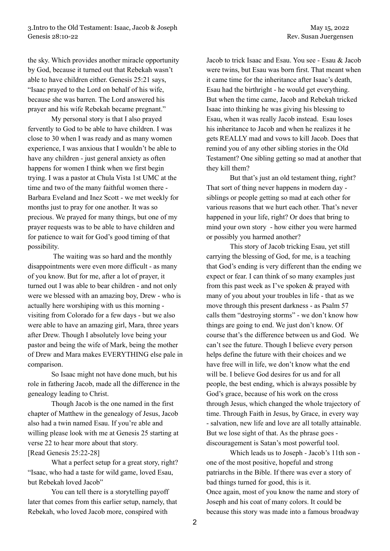the sky. Which provides another miracle opportunity by God, because it turned out that Rebekah wasn't able to have children either. Genesis 25:21 says, "Isaac prayed to the Lord on behalf of his wife, because she was barren. The Lord answered his prayer and his wife Rebekah became pregnant."

My personal story is that I also prayed fervently to God to be able to have children. I was close to 30 when I was ready and as many women experience, I was anxious that I wouldn't be able to have any children - just general anxiety as often happens for women I think when we first begin trying. I was a pastor at Chula Vista 1st UMC at the time and two of the many faithful women there - Barbara Eveland and Inez Scott - we met weekly for months just to pray for one another. It was so precious. We prayed for many things, but one of my prayer requests was to be able to have children and for patience to wait for God's good timing of that possibility.

The waiting was so hard and the monthly disappointments were even more difficult - as many of you know. But for me, after a lot of prayer, it turned out I was able to bear children - and not only were we blessed with an amazing boy, Drew - who is actually here worshiping with us this morning visiting from Colorado for a few days - but we also were able to have an amazing girl, Mara, three years after Drew. Though I absolutely love being your pastor and being the wife of Mark, being the mother of Drew and Mara makes EVERYTHING else pale in comparison.

So Isaac might not have done much, but his role in fathering Jacob, made all the difference in the genealogy leading to Christ.

Though Jacob is the one named in the first chapter of Matthew in the genealogy of Jesus, Jacob also had a twin named Esau. If you're able and willing please look with me at Genesis 25 starting at verse 22 to hear more about that story. [Read Genesis 25:22-28]

What a perfect setup for a great story, right? "Isaac, who had a taste for wild game, loved Esau, but Rebekah loved Jacob"

You can tell there is a storytelling payoff later that comes from this earlier setup, namely, that Rebekah, who loved Jacob more, conspired with

Jacob to trick Isaac and Esau. You see - Esau & Jacob were twins, but Esau was born first. That meant when it came time for the inheritance after Isaac's death, Esau had the birthright - he would get everything. But when the time came, Jacob and Rebekah tricked Isaac into thinking he was giving his blessing to Esau, when it was really Jacob instead. Esau loses his inheritance to Jacob and when he realizes it he gets REALLY mad and vows to kill Jacob. Does that remind you of any other sibling stories in the Old Testament? One sibling getting so mad at another that they kill them?

But that's just an old testament thing, right? That sort of thing never happens in modern day siblings or people getting so mad at each other for various reasons that we hurt each other. That's never happened in your life, right? Or does that bring to mind your own story - how either you were harmed or possibly you harmed another?

This story of Jacob tricking Esau, yet still carrying the blessing of God, for me, is a teaching that God's ending is very different than the ending we expect or fear. I can think of so many examples just from this past week as I've spoken & prayed with many of you about your troubles in life - that as we move through this present darkness - as Psalm 57 calls them "destroying storms" - we don't know how things are going to end. We just don't know. Of course that's the difference between us and God. We can't see the future. Though I believe every person helps define the future with their choices and we have free will in life, we don't know what the end will be. I believe God desires for us and for all people, the best ending, which is always possible by God's grace, because of his work on the cross through Jesus, which changed the whole trajectory of time. Through Faith in Jesus, by Grace, in every way - salvation, new life and love are all totally attainable. But we lose sight of that. As the phrase goes discouragement is Satan's most powerful tool.

Which leads us to Joseph - Jacob's 11th son one of the most positive, hopeful and strong patriarchs in the Bible. If there was ever a story of bad things turned for good, this is it. Once again, most of you know the name and story of Joseph and his coat of many colors. It could be because this story was made into a famous broadway